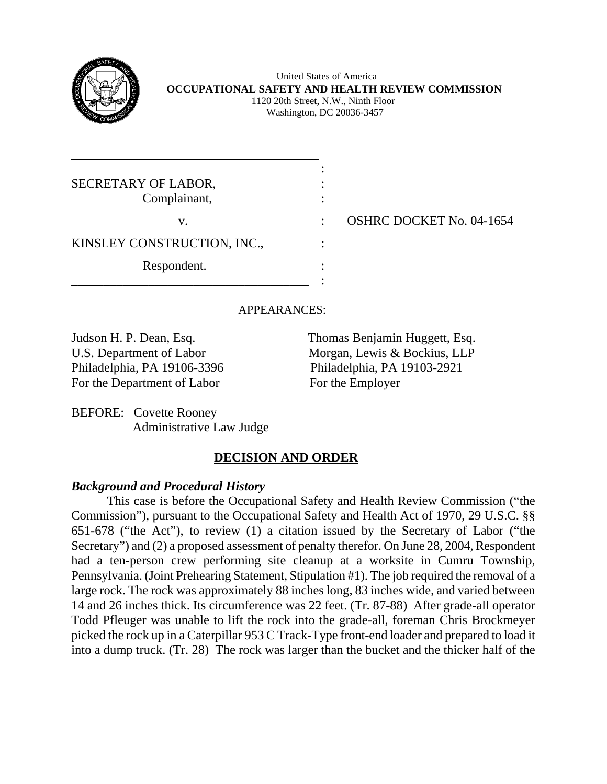

l

 United States of America **OCCUPATIONAL SAFETY AND HEALTH REVIEW COMMISSION** 1120 20th Street, N.W., Ninth Floor Washington, DC 20036-3457

| SECRETARY OF LABOR,<br>Complainant, |  |
|-------------------------------------|--|
| V.                                  |  |
| KINSLEY CONSTRUCTION, INC.,         |  |
| Respondent.                         |  |
|                                     |  |

: OSHRC DOCKET No. 04-1654

APPEARANCES:

Philadelphia, PA 19106-3396 Philadelphia, PA 19103-2921 For the Department of Labor For the Employer

Judson H. P. Dean, Esq. Thomas Benjamin Huggett, Esq. U.S. Department of Labor Morgan, Lewis & Bockius, LLP

BEFORE: Covette Rooney Administrative Law Judge

# **DECISION AND ORDER**

## *Background and Procedural History*

This case is before the Occupational Safety and Health Review Commission ("the Commission"), pursuant to the Occupational Safety and Health Act of 1970, 29 U.S.C. §§ 651-678 ("the Act"), to review (1) a citation issued by the Secretary of Labor ("the Secretary") and (2) a proposed assessment of penalty therefor. On June 28, 2004, Respondent had a ten-person crew performing site cleanup at a worksite in Cumru Township, Pennsylvania. (Joint Prehearing Statement, Stipulation #1). The job required the removal of a large rock. The rock was approximately 88 inches long, 83 inches wide, and varied between 14 and 26 inches thick. Its circumference was 22 feet. (Tr. 87-88) After grade-all operator Todd Pfleuger was unable to lift the rock into the grade-all, foreman Chris Brockmeyer picked the rock up in a Caterpillar 953 C Track-Type front-end loader and prepared to load it into a dump truck. (Tr. 28) The rock was larger than the bucket and the thicker half of the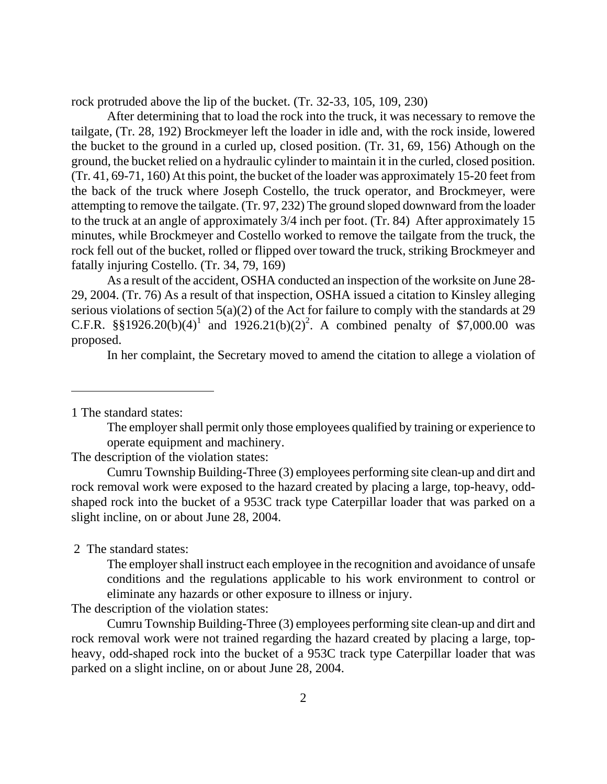rock protruded above the lip of the bucket. (Tr. 32-33, 105, 109, 230)

 After determining that to load the rock into the truck, it was necessary to remove the tailgate, (Tr. 28, 192) Brockmeyer left the loader in idle and, with the rock inside, lowered the bucket to the ground in a curled up, closed position. (Tr. 31, 69, 156) Athough on the ground, the bucket relied on a hydraulic cylinder to maintain it in the curled, closed position. (Tr. 41, 69-71, 160) At this point, the bucket of the loader was approximately 15-20 feet from the back of the truck where Joseph Costello, the truck operator, and Brockmeyer, were attempting to remove the tailgate. (Tr. 97, 232) The ground sloped downward from the loader to the truck at an angle of approximately 3/4 inch per foot. (Tr. 84) After approximately 15 minutes, while Brockmeyer and Costello worked to remove the tailgate from the truck, the rock fell out of the bucket, rolled or flipped over toward the truck, striking Brockmeyer and fatally injuring Costello. (Tr. 34, 79, 169)

 As a result of the accident, OSHA conducted an inspection of the worksite on June 28- 29, 2004. (Tr. 76) As a result of that inspection, OSHA issued a citation to Kinsley alleging serious violations of section  $5(a)(2)$  of the Act for failure to comply with the standards at 29 C.F.R.  $\S$ §[1](#page-1-0)9[2](#page-1-1)6.20(b)(4)<sup>1</sup> and 1926.21(b)(2)<sup>2</sup>. A combined penalty of \$7,000.00 was proposed.

In her complaint, the Secretary moved to amend the citation to allege a violation of

<span id="page-1-0"></span>1 The standard states:

 $\overline{a}$ 

The employer shall permit only those employees qualified by training or experience to operate equipment and machinery.

The description of the violation states:

 Cumru Township Building-Three (3) employees performing site clean-up and dirt and rock removal work were exposed to the hazard created by placing a large, top-heavy, oddshaped rock into the bucket of a 953C track type Caterpillar loader that was parked on a slight incline, on or about June 28, 2004.

<span id="page-1-1"></span>2 The standard states:

The employer shall instruct each employee in the recognition and avoidance of unsafe conditions and the regulations applicable to his work environment to control or eliminate any hazards or other exposure to illness or injury.

The description of the violation states:

 Cumru Township Building-Three (3) employees performing site clean-up and dirt and rock removal work were not trained regarding the hazard created by placing a large, topheavy, odd-shaped rock into the bucket of a 953C track type Caterpillar loader that was parked on a slight incline, on or about June 28, 2004.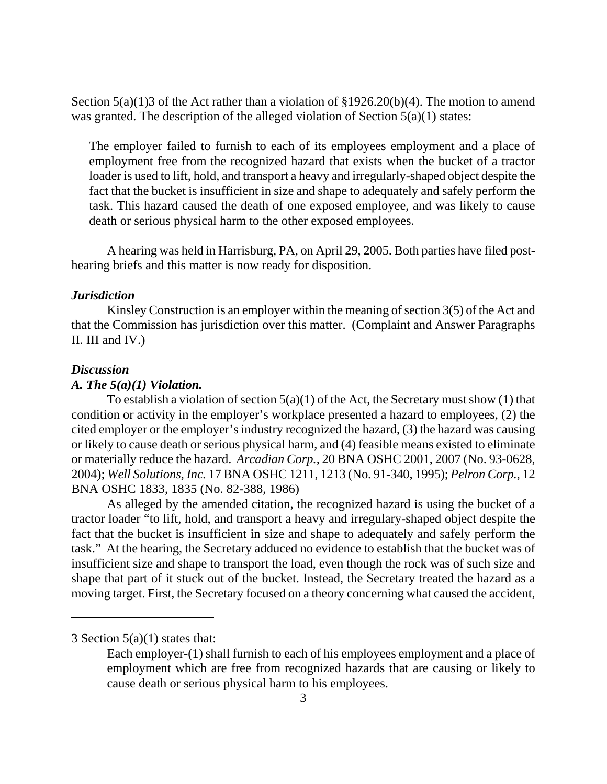Section  $5(a)(1)3$  of the Act rather than a violation of §1926.20(b)(4). The motion to amend was granted. The description of the alleged violation of Section  $5(a)(1)$  states:

The employer failed to furnish to each of its employees employment and a place of employment free from the recognized hazard that exists when the bucket of a tractor loader is used to lift, hold, and transport a heavy and irregularly-shaped object despite the fact that the bucket is insufficient in size and shape to adequately and safely perform the task. This hazard caused the death of one exposed employee, and was likely to cause death or serious physical harm to the other exposed employees.

 A hearing was held in Harrisburg, PA, on April 29, 2005. Both parties have filed posthearing briefs and this matter is now ready for disposition.

#### *Jurisdiction*

Kinsley Construction is an employer within the meaning of section 3(5) of the Act and that the Commission has jurisdiction over this matter. (Complaint and Answer Paragraphs II. III and IV.)

#### *Discussion*

 $\overline{a}$ 

#### *A. The 5(a)(1) Violation.*

To establish a violation of section  $5(a)(1)$  of the Act, the Secretary must show (1) that condition or activity in the employer's workplace presented a hazard to employees, (2) the cited employer or the employer's industry recognized the hazard, (3) the hazard was causing or likely to cause death or serious physical harm, and (4) feasible means existed to eliminate or materially reduce the hazard. *Arcadian Corp.,* 20 BNA OSHC 2001, 2007 (No. 93-0628, 2004); *Well Solutions, Inc.* 17 BNA OSHC 1211, 1213 (No. 91-340, 1995); *Pelron Corp.*, 12 BNA OSHC 1833, 1835 (No. 82-388, 1986)

 As alleged by the amended citation, the recognized hazard is using the bucket of a tractor loader "to lift, hold, and transport a heavy and irregulary-shaped object despite the fact that the bucket is insufficient in size and shape to adequately and safely perform the task." At the hearing, the Secretary adduced no evidence to establish that the bucket was of insufficient size and shape to transport the load, even though the rock was of such size and shape that part of it stuck out of the bucket. Instead, the Secretary treated the hazard as a moving target. First, the Secretary focused on a theory concerning what caused the accident,

<span id="page-2-0"></span><sup>3</sup> Section 5(a)(1) states that:

Each employer-(1) shall furnish to each of his employees employment and a place of employment which are free from recognized hazards that are causing or likely to cause death or serious physical harm to his employees.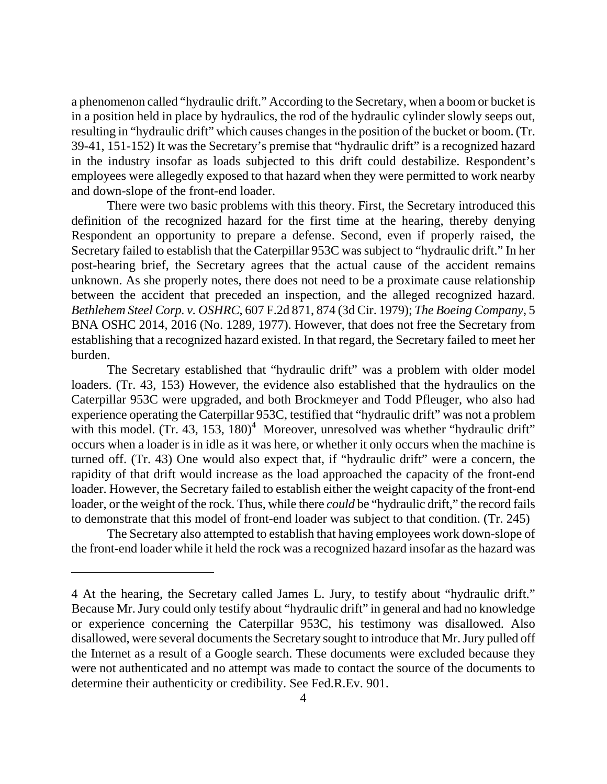a phenomenon called "hydraulic drift." According to the Secretary, when a boom or bucket is in a position held in place by hydraulics, the rod of the hydraulic cylinder slowly seeps out, resulting in "hydraulic drift" which causes changes in the position of the bucket or boom. (Tr. 39-41, 151-152) It was the Secretary's premise that "hydraulic drift" is a recognized hazard in the industry insofar as loads subjected to this drift could destabilize. Respondent's employees were allegedly exposed to that hazard when they were permitted to work nearby and down-slope of the front-end loader.

 There were two basic problems with this theory. First, the Secretary introduced this definition of the recognized hazard for the first time at the hearing, thereby denying Respondent an opportunity to prepare a defense. Second, even if properly raised, the Secretary failed to establish that the Caterpillar 953C was subject to "hydraulic drift." In her post-hearing brief, the Secretary agrees that the actual cause of the accident remains unknown. As she properly notes, there does not need to be a proximate cause relationship between the accident that preceded an inspection, and the alleged recognized hazard. *Bethlehem Steel Corp. v. OSHRC*, 607 F.2d 871, 874 (3d Cir. 1979); *The Boeing Company*, 5 BNA OSHC 2014, 2016 (No. 1289, 1977). However, that does not free the Secretary from establishing that a recognized hazard existed. In that regard, the Secretary failed to meet her burden.

 The Secretary established that "hydraulic drift" was a problem with older model loaders. (Tr. 43, 153) However, the evidence also established that the hydraulics on the Caterpillar 953C were upgraded, and both Brockmeyer and Todd Pfleuger, who also had experience operating the Caterpillar 953C, testified that "hydraulic drift" was not a problem with this model. (Tr. [4](#page-3-0)3, 153,  $180<sup>4</sup>$  Moreover, unresolved was whether "hydraulic drift" occurs when a loader is in idle as it was here, or whether it only occurs when the machine is turned off. (Tr. 43) One would also expect that, if "hydraulic drift" were a concern, the rapidity of that drift would increase as the load approached the capacity of the front-end loader. However, the Secretary failed to establish either the weight capacity of the front-end loader, or the weight of the rock. Thus, while there *could* be "hydraulic drift," the record fails to demonstrate that this model of front-end loader was subject to that condition. (Tr. 245)

 The Secretary also attempted to establish that having employees work down-slope of the front-end loader while it held the rock was a recognized hazard insofar as the hazard was

<span id="page-3-0"></span><sup>4</sup> At the hearing, the Secretary called James L. Jury, to testify about "hydraulic drift." Because Mr. Jury could only testify about "hydraulic drift" in general and had no knowledge or experience concerning the Caterpillar 953C, his testimony was disallowed. Also disallowed, were several documents the Secretary sought to introduce that Mr. Jury pulled off the Internet as a result of a Google search. These documents were excluded because they were not authenticated and no attempt was made to contact the source of the documents to determine their authenticity or credibility. See Fed.R.Ev. 901.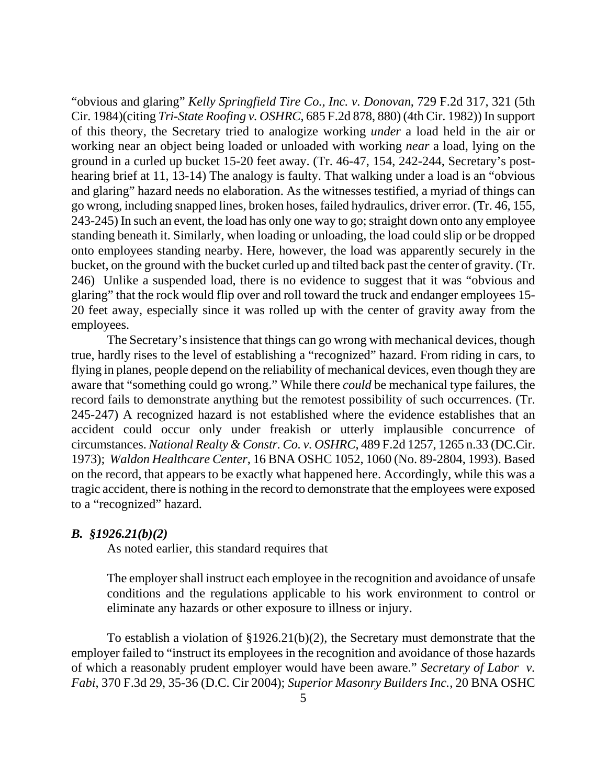"obvious and glaring" *Kelly Springfield Tire Co., Inc. v. Donovan*, 729 F.2d 317, 321 (5th Cir. 1984)(citing *Tri-State Roofing v. OSHRC*, 685 F.2d 878, 880) (4th Cir. 1982)) In support of this theory, the Secretary tried to analogize working *under* a load held in the air or working near an object being loaded or unloaded with working *near* a load, lying on the ground in a curled up bucket 15-20 feet away. (Tr. 46-47, 154, 242-244, Secretary's posthearing brief at 11, 13-14) The analogy is faulty. That walking under a load is an "obvious and glaring" hazard needs no elaboration. As the witnesses testified, a myriad of things can go wrong, including snapped lines, broken hoses, failed hydraulics, driver error. (Tr. 46, 155, 243-245) In such an event, the load has only one way to go; straight down onto any employee standing beneath it. Similarly, when loading or unloading, the load could slip or be dropped onto employees standing nearby. Here, however, the load was apparently securely in the bucket, on the ground with the bucket curled up and tilted back past the center of gravity. (Tr. 246) Unlike a suspended load, there is no evidence to suggest that it was "obvious and glaring" that the rock would flip over and roll toward the truck and endanger employees 15- 20 feet away, especially since it was rolled up with the center of gravity away from the employees.

The Secretary's insistence that things can go wrong with mechanical devices, though true, hardly rises to the level of establishing a "recognized" hazard. From riding in cars, to flying in planes, people depend on the reliability of mechanical devices, even though they are aware that "something could go wrong." While there *could* be mechanical type failures, the record fails to demonstrate anything but the remotest possibility of such occurrences. (Tr. 245-247) A recognized hazard is not established where the evidence establishes that an accident could occur only under freakish or utterly implausible concurrence of circumstances. *National Realty & Constr. Co. v. OSHRC*, 489 F.2d 1257, 1265 n.33 (DC.Cir. 1973); *Waldon Healthcare Center*, 16 BNA OSHC 1052, 1060 (No. 89-2804, 1993). Based on the record, that appears to be exactly what happened here. Accordingly, while this was a tragic accident, there is nothing in the record to demonstrate that the employees were exposed to a "recognized" hazard.

#### *B. §1926.21(b)(2)*

As noted earlier, this standard requires that

The employer shall instruct each employee in the recognition and avoidance of unsafe conditions and the regulations applicable to his work environment to control or eliminate any hazards or other exposure to illness or injury.

 To establish a violation of §1926.21(b)(2), the Secretary must demonstrate that the employer failed to "instruct its employees in the recognition and avoidance of those hazards of which a reasonably prudent employer would have been aware." *Secretary of Labor v. Fabi*, 370 F.3d 29, 35-36 (D.C. Cir 2004); *Superior Masonry Builders Inc.*, 20 BNA OSHC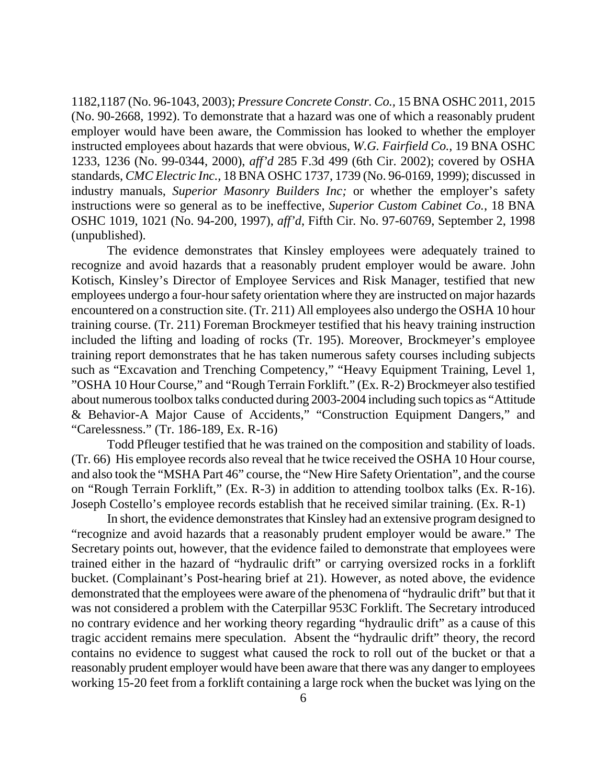1182,1187 (No. 96-1043, 2003); *Pressure Concrete Constr. Co.,* 15 BNA OSHC 2011, 2015 (No. 90-2668, 1992). To demonstrate that a hazard was one of which a reasonably prudent employer would have been aware, the Commission has looked to whether the employer instructed employees about hazards that were obvious, *W.G. Fairfield Co.*, 19 BNA OSHC 1233, 1236 (No. 99-0344, 2000), *aff'd* 285 F.3d 499 (6th Cir. 2002); covered by OSHA standards, *CMC Electric Inc.,* 18 BNA OSHC 1737, 1739 (No. 96-0169, 1999); discussed in industry manuals, *Superior Masonry Builders Inc;* or whether the employer's safety instructions were so general as to be ineffective, *Superior Custom Cabinet Co.*, 18 BNA OSHC 1019, 1021 (No. 94-200, 1997), *aff'd*, Fifth Cir*.* No. 97-60769, September 2, 1998 (unpublished).

 The evidence demonstrates that Kinsley employees were adequately trained to recognize and avoid hazards that a reasonably prudent employer would be aware. John Kotisch, Kinsley's Director of Employee Services and Risk Manager, testified that new employees undergo a four-hour safety orientation where they are instructed on major hazards encountered on a construction site. (Tr. 211) All employees also undergo the OSHA 10 hour training course. (Tr. 211) Foreman Brockmeyer testified that his heavy training instruction included the lifting and loading of rocks (Tr. 195). Moreover, Brockmeyer's employee training report demonstrates that he has taken numerous safety courses including subjects such as "Excavation and Trenching Competency," "Heavy Equipment Training, Level 1, "OSHA 10 Hour Course," and "Rough Terrain Forklift." (Ex. R-2) Brockmeyer also testified about numerous toolbox talks conducted during 2003-2004 including such topics as "Attitude & Behavior-A Major Cause of Accidents," "Construction Equipment Dangers," and "Carelessness." (Tr. 186-189, Ex. R-16)

 Todd Pfleuger testified that he was trained on the composition and stability of loads. (Tr. 66) His employee records also reveal that he twice received the OSHA 10 Hour course, and also took the "MSHA Part 46" course, the "New Hire Safety Orientation", and the course on "Rough Terrain Forklift," (Ex. R-3) in addition to attending toolbox talks (Ex. R-16). Joseph Costello's employee records establish that he received similar training. (Ex. R-1)

 In short, the evidence demonstrates that Kinsley had an extensive program designed to "recognize and avoid hazards that a reasonably prudent employer would be aware." The Secretary points out, however, that the evidence failed to demonstrate that employees were trained either in the hazard of "hydraulic drift" or carrying oversized rocks in a forklift bucket. (Complainant's Post-hearing brief at 21). However, as noted above, the evidence demonstrated that the employees were aware of the phenomena of "hydraulic drift" but that it was not considered a problem with the Caterpillar 953C Forklift. The Secretary introduced no contrary evidence and her working theory regarding "hydraulic drift" as a cause of this tragic accident remains mere speculation. Absent the "hydraulic drift" theory, the record contains no evidence to suggest what caused the rock to roll out of the bucket or that a reasonably prudent employer would have been aware that there was any danger to employees working 15-20 feet from a forklift containing a large rock when the bucket was lying on the